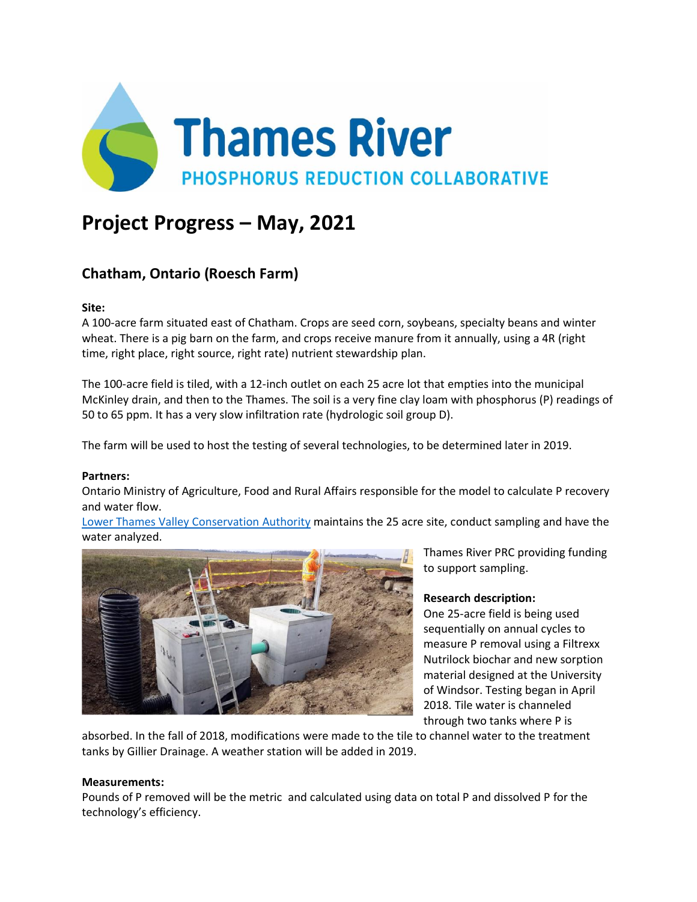

# **Project Progress – May, 2021**

# **Chatham, Ontario (Roesch Farm)**

### **Site:**

A 100-acre farm situated east of Chatham. Crops are seed corn, soybeans, specialty beans and winter wheat. There is a pig barn on the farm, and crops receive manure from it annually, using a 4R (right time, right place, right source, right rate) nutrient stewardship plan.

The 100-acre field is tiled, with a 12-inch outlet on each 25 acre lot that empties into the municipal McKinley drain, and then to the Thames. The soil is a very fine clay loam with phosphorus (P) readings of 50 to 65 ppm. It has a very slow infiltration rate (hydrologic soil group D).

The farm will be used to host the testing of several technologies, to be determined later in 2019.

#### **Partners:**

Ontario Ministry of Agriculture, Food and Rural Affairs responsible for the model to calculate P recovery and water flow.

[Lower Thames Valley Conservation Authority](https://www.lowerthames-conservation.on.ca/) maintains the 25 acre site, conduct sampling and have the water analyzed.



Thames River PRC providing funding to support sampling.

## **Research description:**

One 25-acre field is being used sequentially on annual cycles to measure P removal using a Filtrexx Nutrilock biochar and new sorption material designed at the University of Windsor. Testing began in April 2018. Tile water is channeled through two tanks where P is

absorbed. In the fall of 2018, modifications were made to the tile to channel water to the treatment tanks by Gillier Drainage. A weather station will be added in 2019.

#### **Measurements:**

Pounds of P removed will be the metric and calculated using data on total P and dissolved P for the technology's efficiency.